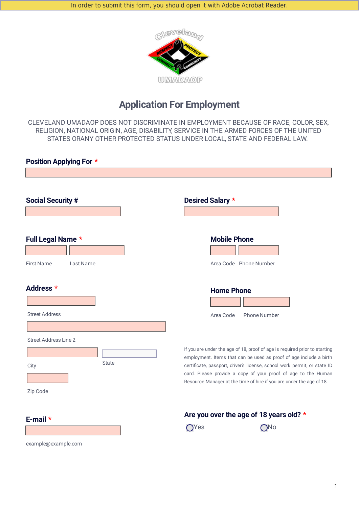

# **Application For Employment**

CLEVELAND UMADAOP DOES NOT DISCRIMINATE IN EMPLOYMENT BECAUSE OF RACE, COLOR, SEX, RELIGION, NATIONAL ORIGIN, AGE, DISABILITY, SERVICE IN THE ARMED FORCES OF THE UNITED STATES ORANY OTHER PROTECTED STATUS UNDER LOCAL, STATE AND FEDERAL LAW.

| <b>Position Applying For *</b>                                   |                                                                                                                                                                                                                                                                                                                                                                                                |
|------------------------------------------------------------------|------------------------------------------------------------------------------------------------------------------------------------------------------------------------------------------------------------------------------------------------------------------------------------------------------------------------------------------------------------------------------------------------|
|                                                                  |                                                                                                                                                                                                                                                                                                                                                                                                |
| <b>Social Security #</b>                                         | <b>Desired Salary *</b>                                                                                                                                                                                                                                                                                                                                                                        |
| Full Legal Name *                                                | <b>Mobile Phone</b>                                                                                                                                                                                                                                                                                                                                                                            |
| <b>First Name</b><br>Last Name                                   | Area Code Phone Number                                                                                                                                                                                                                                                                                                                                                                         |
| Address *<br><b>Street Address</b>                               | <b>Home Phone</b><br>Area Code<br><b>Phone Number</b>                                                                                                                                                                                                                                                                                                                                          |
| <b>Street Address Line 2</b><br><b>State</b><br>City<br>Zip Code | If you are under the age of 18, proof of age is required prior to starting<br>$\vert \bullet \vert$<br>employment. Items that can be used as proof of age include a birth<br>certificate, passport, driver's license, school work permit, or state ID<br>card. Please provide a copy of your proof of age to the Human<br>Resource Manager at the time of hire if you are under the age of 18. |
| E-mail $*$<br>example@example.com                                | Are you over the age of 18 years old? *<br>$O$ Yes<br>$\bigcirc$ No                                                                                                                                                                                                                                                                                                                            |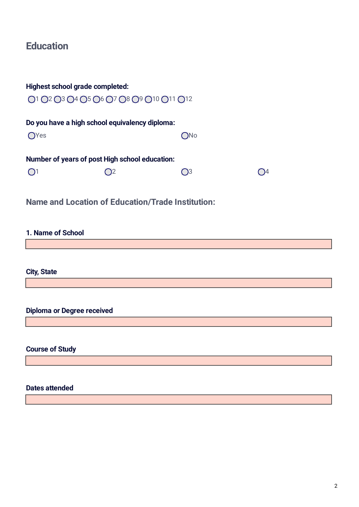# **Education**

| <b>Highest school grade completed:</b>         |     |              |
|------------------------------------------------|-----|--------------|
| 01 02 03 04 05 06 07 08 09 010 011 012         |     |              |
| Do you have a high school equivalency diploma: |     |              |
| OYes                                           | ONo |              |
| Number of years of post High school education: |     |              |
|                                                | O3  | $\bigcirc$ 4 |

**Name and Location of Education/Trade Institution:**

### **1. Name of School**

**City, State**

**Diploma or Degree received**

**Course of Study**

### **Dates attended**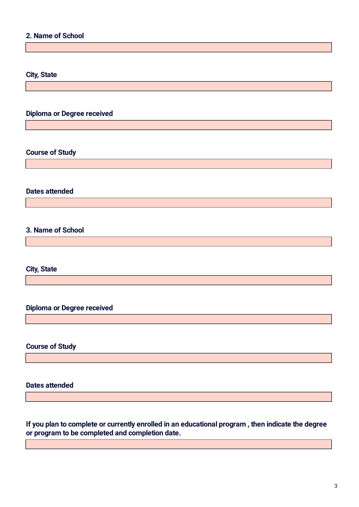## **2. Name of School**

#### **City, State**

## **Diploma or Degree received**

### **Course of Study**

#### **Dates attended**

## **3. Name of School**

### **City, State**

## **Diploma or Degree received**

#### **Course of Study**

#### **Dates attended**

**If you plan to complete or currently enrolled in an educational program , then indicate the degree or program to be completed and completion date.**

the control of the control of the control of the control of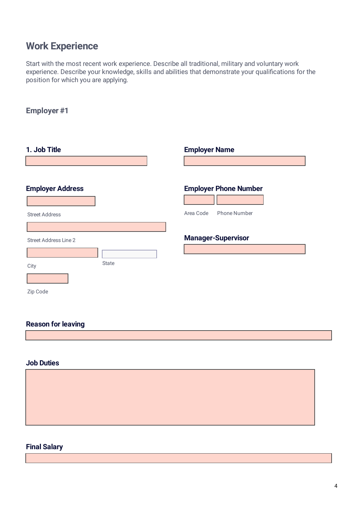# **Work Experience**

Start with the most recent work experience. Describe all traditional, military and voluntary work experience. Describe your knowledge, skills and abilities that demonstrate your qualifications for the position for which you are applying.

## **Employer #1**

| 1. Job Title                 |              | <b>Employer Name</b>             |
|------------------------------|--------------|----------------------------------|
|                              |              |                                  |
|                              |              |                                  |
| <b>Employer Address</b>      |              | <b>Employer Phone Number</b>     |
|                              |              |                                  |
| <b>Street Address</b>        |              | Area Code<br><b>Phone Number</b> |
|                              |              |                                  |
| <b>Street Address Line 2</b> |              | <b>Manager-Supervisor</b>        |
|                              | $\mathbf{v}$ |                                  |
| <b>State</b><br>City         |              |                                  |
|                              |              |                                  |
| Zip Code                     |              |                                  |

### **Reason for leaving**

#### **Job Duties**

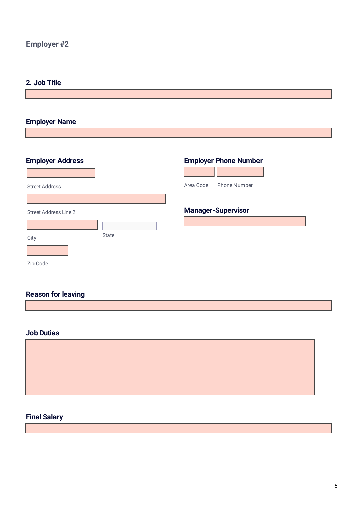## **Employer #2**

### **2. Job Title**

## **Employer Name**

| <b>Employer Address</b>      |              | <b>Employer Phone Number</b>     |
|------------------------------|--------------|----------------------------------|
|                              |              |                                  |
| <b>Street Address</b>        |              | Area Code<br><b>Phone Number</b> |
|                              |              |                                  |
| <b>Street Address Line 2</b> |              | <b>Manager-Supervisor</b>        |
|                              | $\mathbf{r}$ |                                  |
| City                         | <b>State</b> |                                  |
|                              |              |                                  |
| Zip Code                     |              |                                  |

## **Reason for leaving**

#### **Job Duties**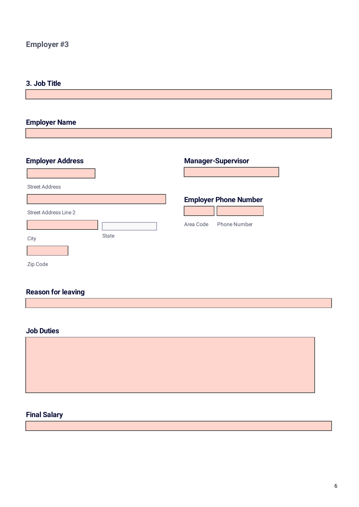## **Employer #3**

## **3. Job Title**

## **Employer Name**

| <b>Employer Address</b> |               |           | <b>Manager-Supervisor</b>    |
|-------------------------|---------------|-----------|------------------------------|
|                         |               |           |                              |
| <b>Street Address</b>   |               |           |                              |
|                         |               |           | <b>Employer Phone Number</b> |
| Street Address Line 2   |               |           |                              |
|                         | $\vert \vert$ | Area Code | <b>Phone Number</b>          |
| City                    | <b>State</b>  |           |                              |
|                         |               |           |                              |
| Zip Code                |               |           |                              |

# **Reason for leaving**

### **Job Duties**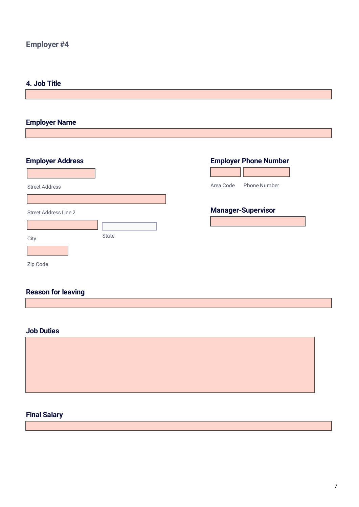## **Employer #4**

## **4. Job Title**

## **Employer Name**

| <b>Employer Address</b> |                      | <b>Employer Phone Number</b>     |
|-------------------------|----------------------|----------------------------------|
|                         |                      |                                  |
| <b>Street Address</b>   |                      | Area Code<br><b>Phone Number</b> |
|                         |                      |                                  |
| Street Address Line 2   |                      | <b>Manager-Supervisor</b>        |
|                         | $\blacktriangledown$ |                                  |
| City                    | <b>State</b>         |                                  |
|                         |                      |                                  |
| Zip Code                |                      |                                  |

# **Reason for leaving**

### **Job Duties**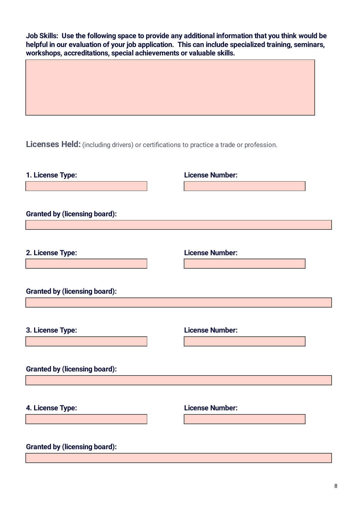**Job Skills: Use the following space to provide any additional information that you think would be helpful in our evaluation of your job application. This can include specialized training, seminars, workshops, accreditations, special achievements or valuable skills.**

**Licenses Held:** (including drivers) or certifications to practice a trade or profession.

| <b>License Number:</b><br>2. License Type:<br><b>Granted by (licensing board):</b><br><b>License Number:</b><br>3. License Type:<br><b>Granted by (licensing board):</b><br>4. License Type:<br><b>License Number:</b><br><b>Granted by (licensing board):</b> | 1. License Type:<br><b>Granted by (licensing board):</b> | <b>License Number:</b> |
|----------------------------------------------------------------------------------------------------------------------------------------------------------------------------------------------------------------------------------------------------------------|----------------------------------------------------------|------------------------|
|                                                                                                                                                                                                                                                                |                                                          |                        |
|                                                                                                                                                                                                                                                                |                                                          |                        |
|                                                                                                                                                                                                                                                                |                                                          |                        |
|                                                                                                                                                                                                                                                                |                                                          |                        |
|                                                                                                                                                                                                                                                                |                                                          |                        |
|                                                                                                                                                                                                                                                                |                                                          |                        |
|                                                                                                                                                                                                                                                                |                                                          |                        |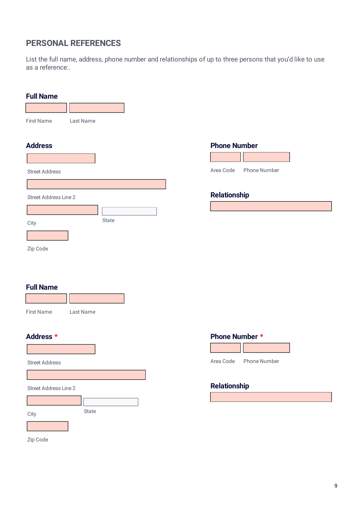## **PERSONAL REFERENCES**

List the full name, address, phone number and relationships of up to three persons that you'd like to use as a reference:.

| <b>Full Name</b>             |           |                       |                                  |
|------------------------------|-----------|-----------------------|----------------------------------|
|                              |           |                       |                                  |
| <b>First Name</b>            | Last Name |                       |                                  |
|                              |           |                       |                                  |
| <b>Address</b>               |           |                       | <b>Phone Number</b>              |
|                              |           |                       |                                  |
| <b>Street Address</b>        |           |                       | <b>Phone Number</b><br>Area Code |
|                              |           |                       |                                  |
| <b>Street Address Line 2</b> |           |                       | Relationship                     |
|                              |           | $\blacktriangleright$ |                                  |
| City                         | State     |                       |                                  |
|                              |           |                       |                                  |
| Zip Code                     |           |                       |                                  |
| <b>Full Name</b>             |           |                       |                                  |
| <b>First Name</b>            | Last Name |                       |                                  |
| Address *                    |           |                       | Phone Number *                   |
|                              |           |                       |                                  |
| <b>Street Address</b>        |           |                       | Area Code<br>Phone Number        |
|                              |           |                       |                                  |
| Street Address Line 2        |           |                       | <b>Relationship</b>              |
|                              |           | $\boxed{\mathbf{r}}$  |                                  |
| City                         | State     |                       |                                  |
|                              |           |                       |                                  |
| Zip Code                     |           |                       |                                  |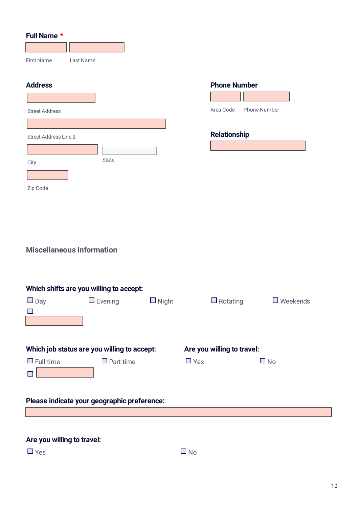### **Full Name \***

| <b>First Name</b>     | Last Name |       |                      |                     |              |
|-----------------------|-----------|-------|----------------------|---------------------|--------------|
| <b>Address</b>        |           |       |                      | <b>Phone Number</b> |              |
| <b>Street Address</b> |           |       |                      | Area Code           | Phone Number |
| Street Address Line 2 |           |       |                      | <b>Relationship</b> |              |
| City                  |           | State | $\blacktriangledown$ |                     |              |
| Zip Code              |           |       |                      |                     |              |
|                       |           |       |                      |                     |              |
|                       |           |       |                      |                     |              |

# **Miscellaneous Information**

| Which shifts are you willing to accept:     |                                             |              |                            |                 |  |  |  |
|---------------------------------------------|---------------------------------------------|--------------|----------------------------|-----------------|--|--|--|
| $\Box$ Day                                  | $\Box$ Evening                              | $\Box$ Night | $\Box$ Rotating            | $\Box$ Weekends |  |  |  |
| $\Box$                                      |                                             |              |                            |                 |  |  |  |
|                                             |                                             |              |                            |                 |  |  |  |
|                                             |                                             |              |                            |                 |  |  |  |
|                                             | Which job status are you willing to accept: |              | Are you willing to travel: |                 |  |  |  |
| $\Box$ Full-time                            | $\Box$ Part-time                            | $\Box$ Yes   |                            | $\Box$ No       |  |  |  |
|                                             |                                             |              |                            |                 |  |  |  |
|                                             |                                             |              |                            |                 |  |  |  |
| Please indicate your geographic preference: |                                             |              |                            |                 |  |  |  |
|                                             |                                             |              |                            |                 |  |  |  |
|                                             |                                             |              |                            |                 |  |  |  |
|                                             |                                             |              |                            |                 |  |  |  |

## **Are you willing to travel:**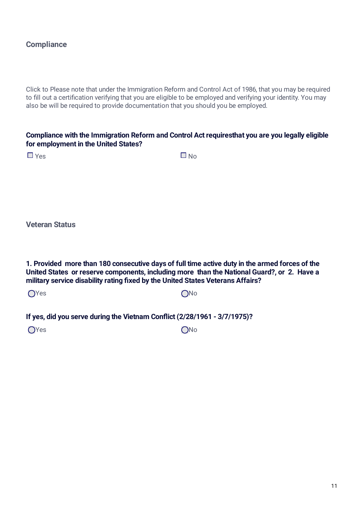## **Compliance**

Click to Please note that under the Immigration Reform and Control Act of 1986, that you may be required to fill out a certification verifying that you are eligible to be employed and verifying your identity. You may also be will be required to provide documentation that you should you be employed.

### **Compliance with the Immigration Reform and Control Act requiresthat you are you legally eligible for employment in the United States?**

 $Yes$   $\Box$  No

**Veteran Status**

**1. Provided more than 180 consecutive days of full time active duty in the armed forces of the United States or reserve components, including more than the National Guard?, or 2. Have a military service disability rating xed by the United States Veterans Affairs?**

Yes and the contract of the contract of  $\bigcirc$  No

**If yes, did you serve during the Vietnam Conict (2/28/1961 - 3/7/1975)?**

Yes **ONo**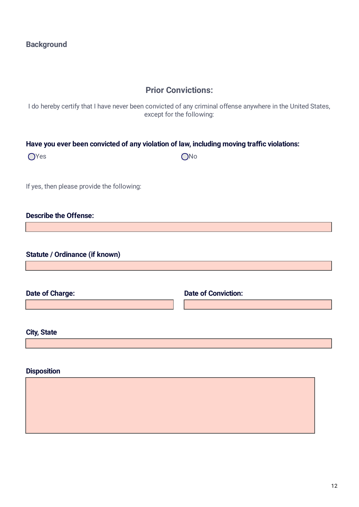## **Prior Convictions:**

I do hereby certify that I have never been convicted of any criminal offense anywhere in the United States, except for the following:

### **Have you ever been convicted of any violation of law, including moving trac violations:**

Yes **ONo** 

If yes, then please provide the following:

## **Describe the Offense:**

**Statute / Ordinance (if known)**

**Date of Charge: Date of Conviction:**

**City, State**

| <b>Disposition</b> |  |
|--------------------|--|
|                    |  |
|                    |  |
|                    |  |
|                    |  |